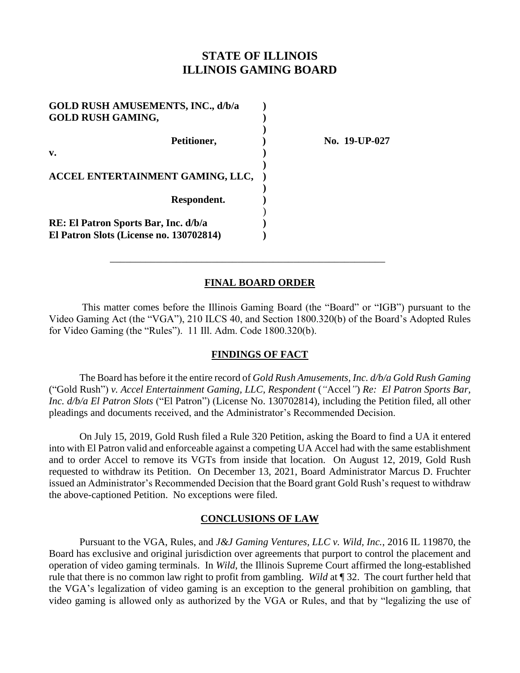# **STATE OF ILLINOIS ILLINOIS GAMING BOARD**

| <b>GOLD RUSH AMUSEMENTS, INC., d/b/a</b><br><b>GOLD RUSH GAMING,</b> |  |
|----------------------------------------------------------------------|--|
| Petitioner,                                                          |  |
| $\mathbf{v}$ .                                                       |  |
| ACCEL ENTERTAINMENT GAMING, LLC,                                     |  |
| Respondent.                                                          |  |
| RE: El Patron Sports Bar, Inc. d/b/a                                 |  |
| El Patron Slots (License no. 130702814)                              |  |

**Petitioner, ) No. 19-UP-027**

## **FINAL BOARD ORDER**

\_\_\_\_\_\_\_\_\_\_\_\_\_\_\_\_\_\_\_\_\_\_\_\_\_\_\_\_\_\_\_\_\_\_\_\_\_\_\_\_\_\_\_\_\_\_\_\_\_\_\_\_\_\_

This matter comes before the Illinois Gaming Board (the "Board" or "IGB") pursuant to the Video Gaming Act (the "VGA"), 210 ILCS 40, and Section 1800.320(b) of the Board's Adopted Rules for Video Gaming (the "Rules"). 11 Ill. Adm. Code 1800.320(b).

## **FINDINGS OF FACT**

The Board has before it the entire record of *Gold Rush Amusements, Inc. d/b/a Gold Rush Gaming*  ("Gold Rush") *v. Accel Entertainment Gaming, LLC, Respondent* (*"*Accel*"*) *Re: El Patron Sports Bar, Inc. d/b/a El Patron Slots* ("El Patron") (License No. 130702814)*,* including the Petition filed, all other pleadings and documents received, and the Administrator's Recommended Decision.

On July 15, 2019, Gold Rush filed a Rule 320 Petition, asking the Board to find a UA it entered into with El Patron valid and enforceable against a competing UA Accel had with the same establishment and to order Accel to remove its VGTs from inside that location. On August 12, 2019, Gold Rush requested to withdraw its Petition. On December 13, 2021, Board Administrator Marcus D. Fruchter issued an Administrator's Recommended Decision that the Board grant Gold Rush's request to withdraw the above-captioned Petition. No exceptions were filed.

## **CONCLUSIONS OF LAW**

Pursuant to the VGA, Rules, and *J&J Gaming Ventures, LLC v. Wild, Inc.*, 2016 IL 119870, the Board has exclusive and original jurisdiction over agreements that purport to control the placement and operation of video gaming terminals. In *Wild*, the Illinois Supreme Court affirmed the long-established rule that there is no common law right to profit from gambling. *Wild* at ¶ 32. The court further held that the VGA's legalization of video gaming is an exception to the general prohibition on gambling, that video gaming is allowed only as authorized by the VGA or Rules, and that by "legalizing the use of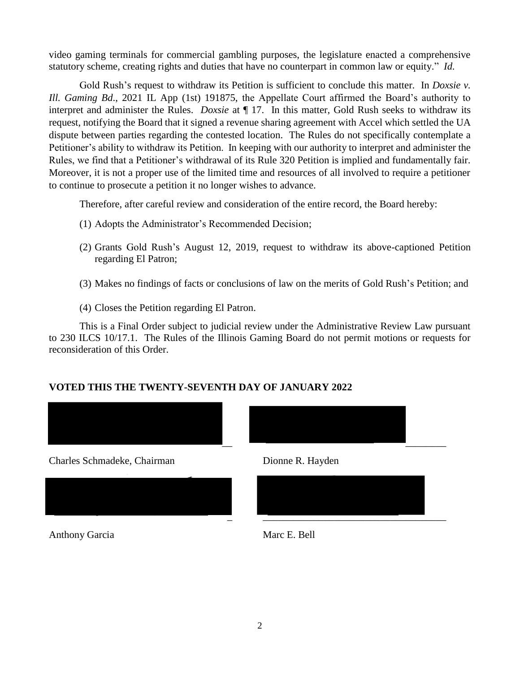video gaming terminals for commercial gambling purposes, the legislature enacted a comprehensive statutory scheme, creating rights and duties that have no counterpart in common law or equity." *Id.*

Gold Rush's request to withdraw its Petition is sufficient to conclude this matter. In *Doxsie v. Ill. Gaming Bd*., 2021 IL App (1st) 191875, the Appellate Court affirmed the Board's authority to interpret and administer the Rules. *Doxsie* at ¶ 17. In this matter, Gold Rush seeks to withdraw its request, notifying the Board that it signed a revenue sharing agreement with Accel which settled the UA dispute between parties regarding the contested location. The Rules do not specifically contemplate a Petitioner's ability to withdraw its Petition. In keeping with our authority to interpret and administer the Rules, we find that a Petitioner's withdrawal of its Rule 320 Petition is implied and fundamentally fair. Moreover, it is not a proper use of the limited time and resources of all involved to require a petitioner to continue to prosecute a petition it no longer wishes to advance.

Therefore, after careful review and consideration of the entire record, the Board hereby:

- (1) Adopts the Administrator's Recommended Decision;
- (2) Grants Gold Rush's August 12, 2019, request to withdraw its above-captioned Petition regarding El Patron;
- (3) Makes no findings of facts or conclusions of law on the merits of Gold Rush's Petition; and
- (4) Closes the Petition regarding El Patron.

This is a Final Order subject to judicial review under the Administrative Review Law pursuant to 230 ILCS 10/17.1. The Rules of the Illinois Gaming Board do not permit motions or requests for reconsideration of this Order.

# **VOTED THIS THE TWENTY-SEVENTH DAY OF JANUARY 2022**



Charles Schmadeke, Chairman Dionne R. Hayden



Anthony Garcia Marc E. Bell



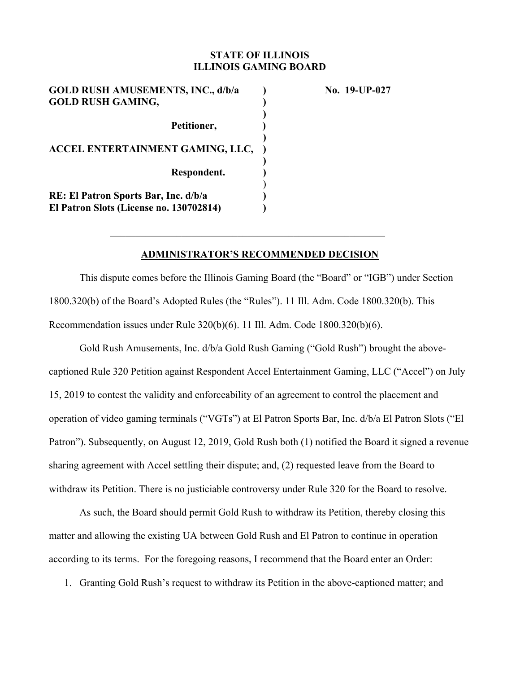### **STATE OF ILLINOIS ILLINOIS GAMING BOARD**

| <b>GOLD RUSH AMUSEMENTS, INC., d/b/a</b><br><b>GOLD RUSH GAMING,</b>            |  |
|---------------------------------------------------------------------------------|--|
| Petitioner,                                                                     |  |
| ACCEL ENTERTAINMENT GAMING, LLC,                                                |  |
| Respondent.                                                                     |  |
| RE: El Patron Sports Bar, Inc. d/b/a<br>El Patron Slots (License no. 130702814) |  |

**No. 19-UP-027** 

### **ADMINISTRATOR'S RECOMMENDED DECISION**

This dispute comes before the Illinois Gaming Board (the "Board" or "IGB") under Section 1800.320(b) of the Board's Adopted Rules (the "Rules"). 11 Ill. Adm. Code 1800.320(b). This Recommendation issues under Rule 320(b)(6). 11 Ill. Adm. Code 1800.320(b)(6).

Gold Rush Amusements, Inc. d/b/a Gold Rush Gaming ("Gold Rush") brought the abovecaptioned Rule 320 Petition against Respondent Accel Entertainment Gaming, LLC ("Accel") on July 15, 2019 to contest the validity and enforceability of an agreement to control the placement and operation of video gaming terminals ("VGTs") at El Patron Sports Bar, Inc. d/b/a El Patron Slots ("El Patron"). Subsequently, on August 12, 2019, Gold Rush both (1) notified the Board it signed a revenue sharing agreement with Accel settling their dispute; and, (2) requested leave from the Board to withdraw its Petition. There is no justiciable controversy under Rule 320 for the Board to resolve.

As such, the Board should permit Gold Rush to withdraw its Petition, thereby closing this matter and allowing the existing UA between Gold Rush and El Patron to continue in operation according to its terms.For the foregoing reasons, I recommend that the Board enter an Order:

1. Granting Gold Rush's request to withdraw its Petition in the above-captioned matter; and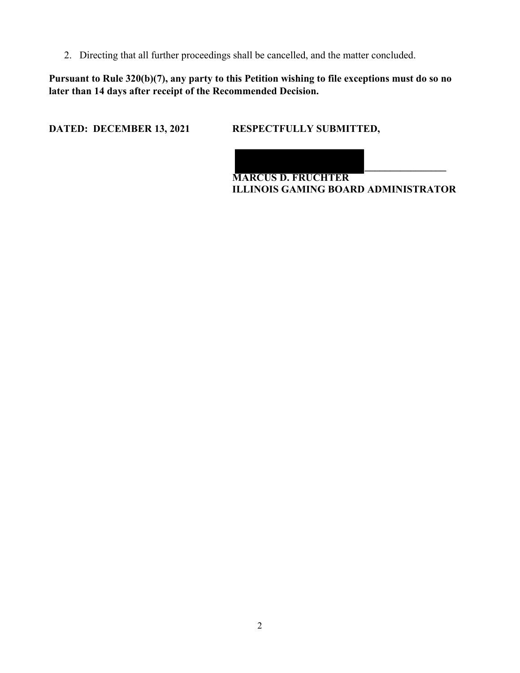2. Directing that all further proceedings shall be cancelled, and the matter concluded.

**Pursuant to Rule 320(b)(7), any party to this Petition wishing to file exceptions must do so no later than 14 days after receipt of the Recommended Decision.** 

**DATED: DECEMBER 13, 2021 RESPECTFULLY SUBMITTED,** 

**\_\_\_\_\_\_\_\_\_\_\_\_\_\_\_\_ MARCUS D. FRUCHTER ILLINOIS GAMING BOARD ADMINISTRATOR**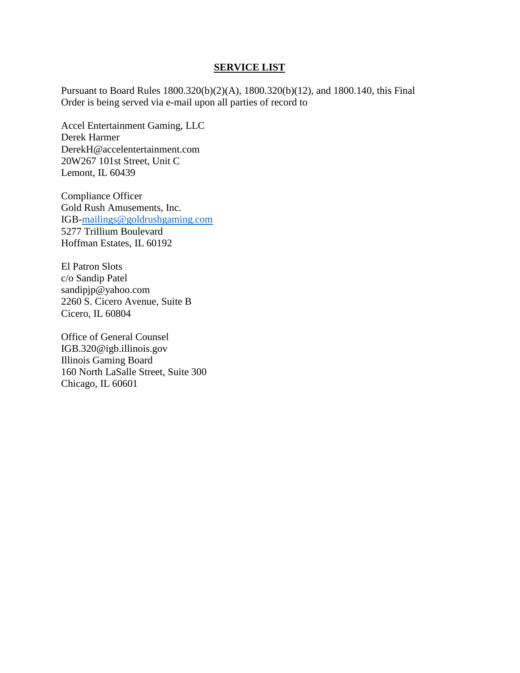#### **SERVICE LIST**

Pursuant to Board Rules 1800.320(b)(2)(A), 1800.320(b)(12), and 1800.140, this Final Order is being served via e-mail upon all parties of record to

Accel Entertainment Gaming, LLC Derek Harmer DerekH@accelentertainment.com 20W267 101st Street, Unit C Lemont, IL 60439

Compliance Officer Gold Rush Amusements, Inc. IGB[-mailings@goldrushgaming.com](mailto:mailings@goldrushgaming.com) 5277 Trillium Boulevard Hoffman Estates, IL 60192

El Patron Slots c/o Sandip Patel sandipjp@yahoo.com 2260 S. Cicero Avenue, Suite B Cicero, IL 60804

Office of General Counsel IGB.320@igb.illinois.gov Illinois Gaming Board 160 North LaSalle Street, Suite 300 Chicago, IL 60601